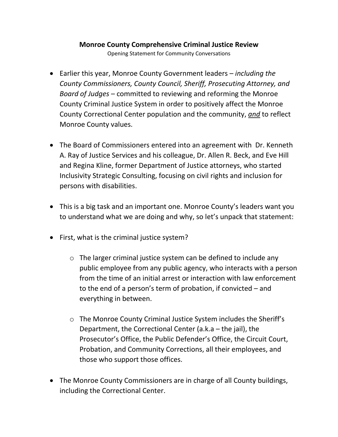## **Monroe County Comprehensive Criminal Justice Review**

Opening Statement for Community Conversations

- Earlier this year, Monroe County Government leaders *including the County Commissioners, County Council, Sheriff, Prosecuting Attorney, and Board of Judges* – committed to reviewing and reforming the Monroe County Criminal Justice System in order to positively affect the Monroe County Correctional Center population and the community, *and* to reflect Monroe County values.
- The Board of Commissioners entered into an agreement with Dr. Kenneth A. Ray of Justice Services and his colleague, Dr. Allen R. Beck, and Eve Hill and Regina Kline, former Department of Justice attorneys, who started Inclusivity Strategic Consulting, focusing on civil rights and inclusion for persons with disabilities.
- This is a big task and an important one. Monroe County's leaders want you to understand what we are doing and why, so let's unpack that statement:
- First, what is the criminal justice system?
	- o The larger criminal justice system can be defined to include any public employee from any public agency, who interacts with a person from the time of an initial arrest or interaction with law enforcement to the end of a person's term of probation, if convicted – and everything in between.
	- o The Monroe County Criminal Justice System includes the Sheriff's Department, the Correctional Center (a.k.a – the jail), the Prosecutor's Office, the Public Defender's Office, the Circuit Court, Probation, and Community Corrections, all their employees, and those who support those offices.
- The Monroe County Commissioners are in charge of all County buildings, including the Correctional Center.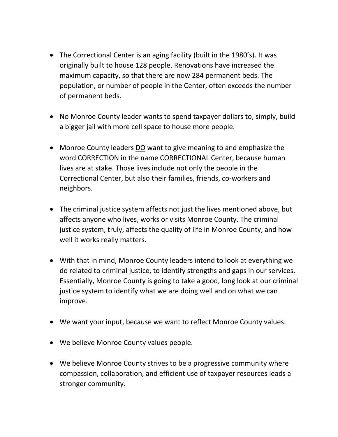- The Correctional Center is an aging facility (built in the 1980's). It was originally built to house 128 people. Renovations have increased the maximum capacity, so that there are now 284 permanent beds. The population, or number of people in the Center, often exceeds the number of permanent beds.
- No Monroe County leader wants to spend taxpayer dollars to, simply, build a bigger jail with more cell space to house more people.
- Monroe County leaders DO want to give meaning to and emphasize the word CORRECTION in the name CORRECTIONAL Center, because human lives are at stake. Those lives include not only the people in the Correctional Center, but also their families, friends, co-workers and neighbors.
- The criminal justice system affects not just the lives mentioned above, but affects anyone who lives, works or visits Monroe County. The criminal justice system, truly, affects the quality of life in Monroe County, and how well it works really matters.
- With that in mind, Monroe County leaders intend to look at everything we do related to criminal justice, to identify strengths and gaps in our services. Essentially, Monroe County is going to take a good, long look at our criminal justice system to identify what we are doing well and on what we can improve.
- We want your input, because we want to reflect Monroe County values.
- We believe Monroe County values people.
- We believe Monroe County strives to be a progressive community where compassion, collaboration, and efficient use of taxpayer resources leads a stronger community.